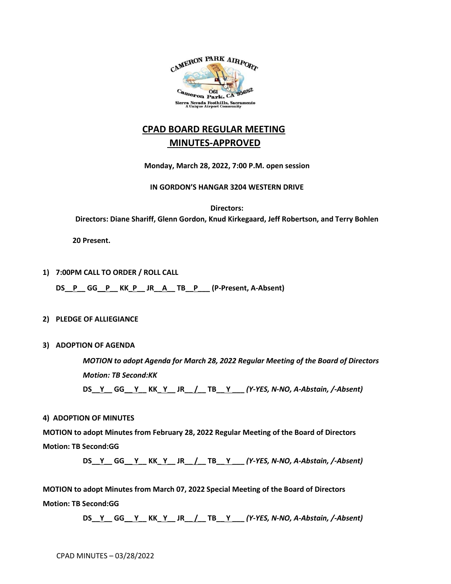

# **CPAD BOARD REGULAR MEETING MINUTES-APPROVED**

**Monday, March 28, 2022, 7:00 P.M. open session**

**IN GORDON'S HANGAR 3204 WESTERN DRIVE**

**Directors: Directors: Diane Shariff, Glenn Gordon, Knud Kirkegaard, Jeff Robertson, and Terry Bohlen**

 **20 Present.**

**1) 7:00PM CALL TO ORDER / ROLL CALL**

**DS\_\_P\_\_ GG\_\_P\_\_ KK\_P\_\_ JR\_\_A\_\_ TB\_\_P\_\_\_ (P-Present, A-Absent)**

## **2) PLEDGE OF ALLIEGIANCE**

**3) ADOPTION OF AGENDA**

*MOTION to adopt Agenda for March 28, 2022 Regular Meeting of the Board of Directors Motion: TB Second:KK*

**DS\_\_Y\_\_ GG\_\_ Y\_\_ KK\_ Y\_\_ JR\_\_ /\_\_ TB\_\_ Y \_\_\_** *(Y-YES, N-NO, A-Abstain, /-Absent)*

## **4) ADOPTION OF MINUTES**

**MOTION to adopt Minutes from February 28, 2022 Regular Meeting of the Board of Directors Motion: TB Second:GG**

**DS\_\_Y\_\_ GG\_\_ Y\_\_ KK\_ Y\_\_ JR\_\_ /\_\_ TB\_\_ Y \_\_\_** *(Y-YES, N-NO, A-Abstain, /-Absent)*

**MOTION to adopt Minutes from March 07, 2022 Special Meeting of the Board of Directors Motion: TB Second:GG**

**DS\_\_Y\_\_ GG\_\_ Y\_\_ KK\_ Y\_\_ JR\_\_ /\_\_ TB\_\_ Y \_\_\_** *(Y-YES, N-NO, A-Abstain, /-Absent)*